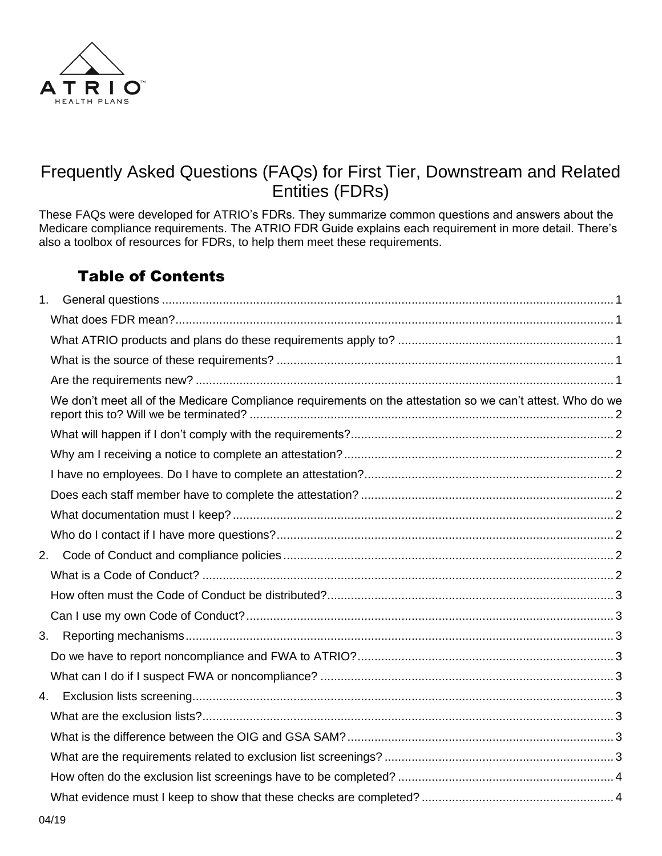

# Frequently Asked Questions (FAQs) for First Tier, Downstream and Related Entities (FDRs)

These FAQs were developed for ATRIO's FDRs. They summarize common questions and answers about the Medicare compliance requirements. The ATRIO FDR Guide explains each requirement in more detail. There's also a toolbox of resources for FDRs, to help them meet these requirements.

# Table of Contents

| 1. |                                                                                                            |  |
|----|------------------------------------------------------------------------------------------------------------|--|
|    |                                                                                                            |  |
|    |                                                                                                            |  |
|    |                                                                                                            |  |
|    |                                                                                                            |  |
|    | We don't meet all of the Medicare Compliance requirements on the attestation so we can't attest. Who do we |  |
|    |                                                                                                            |  |
|    |                                                                                                            |  |
|    |                                                                                                            |  |
|    |                                                                                                            |  |
|    |                                                                                                            |  |
|    |                                                                                                            |  |
| 2. |                                                                                                            |  |
|    |                                                                                                            |  |
|    |                                                                                                            |  |
|    |                                                                                                            |  |
|    |                                                                                                            |  |
|    |                                                                                                            |  |
|    |                                                                                                            |  |
| 4. |                                                                                                            |  |
|    |                                                                                                            |  |
|    |                                                                                                            |  |
|    |                                                                                                            |  |
|    |                                                                                                            |  |
|    |                                                                                                            |  |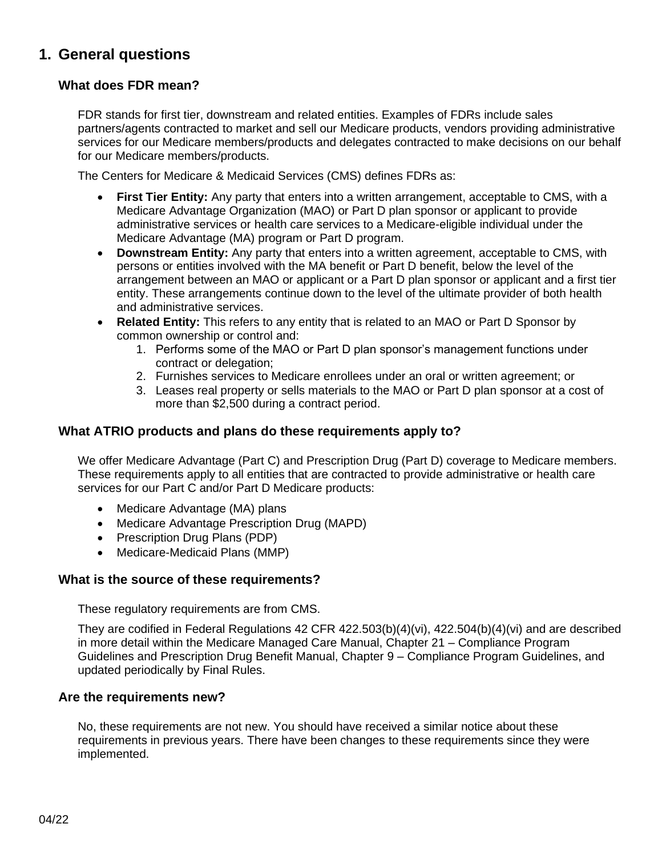## <span id="page-2-0"></span>**1. General questions**

### <span id="page-2-1"></span>**What does FDR mean?**

FDR stands for first tier, downstream and related entities. Examples of FDRs include sales partners/agents contracted to market and sell our Medicare products, vendors providing administrative services for our Medicare members/products and delegates contracted to make decisions on our behalf for our Medicare members/products.

The Centers for Medicare & Medicaid Services (CMS) defines FDRs as:

- **First Tier Entity:** Any party that enters into a written arrangement, acceptable to CMS, with a Medicare Advantage Organization (MAO) or Part D plan sponsor or applicant to provide administrative services or health care services to a Medicare-eligible individual under the Medicare Advantage (MA) program or Part D program.
- **Downstream Entity:** Any party that enters into a written agreement, acceptable to CMS, with persons or entities involved with the MA benefit or Part D benefit, below the level of the arrangement between an MAO or applicant or a Part D plan sponsor or applicant and a first tier entity. These arrangements continue down to the level of the ultimate provider of both health and administrative services.
- **Related Entity:** This refers to any entity that is related to an MAO or Part D Sponsor by common ownership or control and:
	- 1. Performs some of the MAO or Part D plan sponsor's management functions under contract or delegation;
	- 2. Furnishes services to Medicare enrollees under an oral or written agreement; or
	- 3. Leases real property or sells materials to the MAO or Part D plan sponsor at a cost of more than \$2,500 during a contract period.

### <span id="page-2-2"></span>**What ATRIO products and plans do these requirements apply to?**

We offer Medicare Advantage (Part C) and Prescription Drug (Part D) coverage to Medicare members. These requirements apply to all entities that are contracted to provide administrative or health care services for our Part C and/or Part D Medicare products:

- Medicare Advantage (MA) plans
- Medicare Advantage Prescription Drug (MAPD)
- Prescription Drug Plans (PDP)
- Medicare-Medicaid Plans (MMP)

### <span id="page-2-3"></span>**What is the source of these requirements?**

These regulatory requirements are from CMS.

They are codified in Federal Regulations 42 CFR 422.503(b)(4)(vi), 422.504(b)(4)(vi) and are described in more detail within the Medicare Managed Care Manual, Chapter 21 – Compliance Program Guidelines and Prescription Drug Benefit Manual, Chapter 9 – Compliance Program Guidelines, and updated periodically by Final Rules.

### <span id="page-2-4"></span>**Are the requirements new?**

No, these requirements are not new. You should have received a similar notice about these requirements in previous years. There have been changes to these requirements since they were implemented.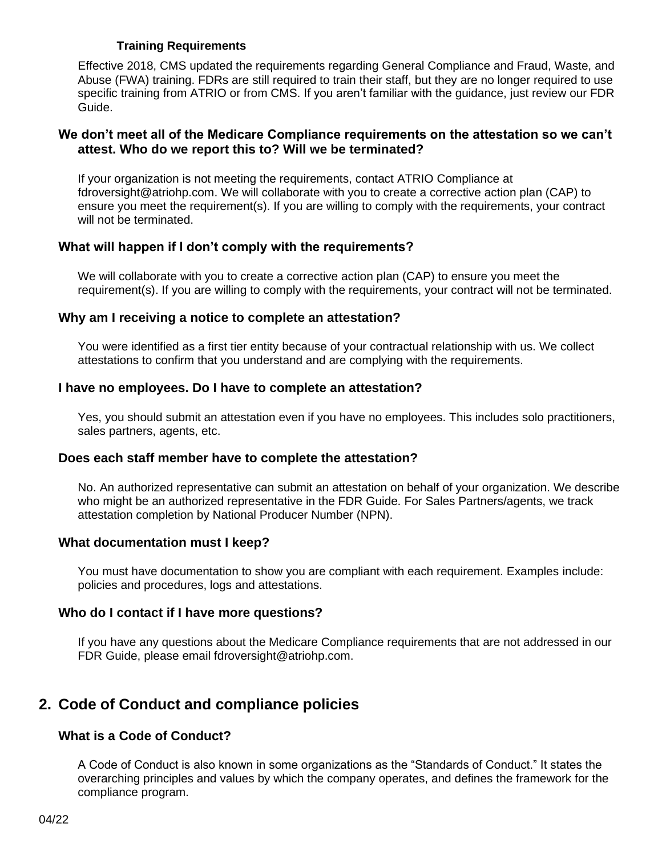### **Training Requirements**

Effective 2018, CMS updated the requirements regarding General Compliance and Fraud, Waste, and Abuse (FWA) training. FDRs are still required to train their staff, but they are no longer required to use specific training from ATRIO or from CMS. If you aren't familiar with the guidance, just review our FDR Guide.

### <span id="page-3-0"></span>**We don't meet all of the Medicare Compliance requirements on the attestation so we can't attest. Who do we report this to? Will we be terminated?**

If your organization is not meeting the requirements, contact ATRIO Compliance at fdroversight@atriohp.com. We will collaborate with you to create a corrective action plan (CAP) to ensure you meet the requirement(s). If you are willing to comply with the requirements, your contract will not be terminated.

### <span id="page-3-1"></span>**What will happen if I don't comply with the requirements?**

We will collaborate with you to create a corrective action plan (CAP) to ensure you meet the requirement(s). If you are willing to comply with the requirements, your contract will not be terminated.

### <span id="page-3-2"></span>**Why am I receiving a notice to complete an attestation?**

You were identified as a first tier entity because of your contractual relationship with us. We collect attestations to confirm that you understand and are complying with the requirements.

### <span id="page-3-3"></span>**I have no employees. Do I have to complete an attestation?**

Yes, you should submit an attestation even if you have no employees. This includes solo practitioners, sales partners, agents, etc.

### <span id="page-3-4"></span>**Does each staff member have to complete the attestation?**

No. An authorized representative can submit an attestation on behalf of your organization. We describe who might be an authorized representative in the FDR Guide. For Sales Partners/agents, we track attestation completion by National Producer Number (NPN).

### <span id="page-3-5"></span>**What documentation must I keep?**

You must have documentation to show you are compliant with each requirement. Examples include: policies and procedures, logs and attestations.

### <span id="page-3-6"></span>**Who do I contact if I have more questions?**

If you have any questions about the Medicare Compliance requirements that are not addressed in our FDR Guide, please email fdroversight@atriohp.com.

### <span id="page-3-7"></span>**2. Code of Conduct and compliance policies**

### <span id="page-3-8"></span>**What is a Code of Conduct?**

A Code of Conduct is also known in some organizations as the "Standards of Conduct." It states the overarching principles and values by which the company operates, and defines the framework for the compliance program.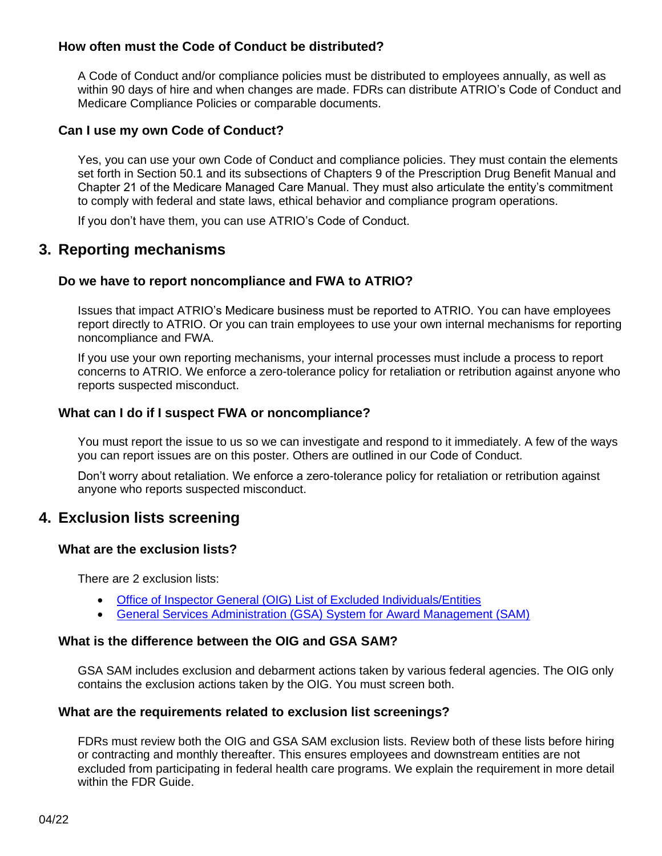### <span id="page-4-0"></span>**How often must the Code of Conduct be distributed?**

A Code of Conduct and/or compliance policies must be distributed to employees annually, as well as within 90 days of hire and when changes are made. FDRs can distribute ATRIO's Code of Conduct and Medicare Compliance Policies or comparable documents.

### <span id="page-4-1"></span>**Can I use my own Code of Conduct?**

Yes, you can use your own Code of Conduct and compliance policies. They must contain the elements set forth in Section 50.1 and its subsections of Chapters 9 of the Prescription Drug Benefit Manual and Chapter 21 of the Medicare Managed Care Manual. They must also articulate the entity's commitment to comply with federal and state laws, ethical behavior and compliance program operations.

If you don't have them, you can use ATRIO's Code of Conduct.

### <span id="page-4-2"></span>**3. Reporting mechanisms**

### <span id="page-4-3"></span>**Do we have to report noncompliance and FWA to ATRIO?**

Issues that impact ATRIO's Medicare business must be reported to ATRIO. You can have employees report directly to ATRIO. Or you can train employees to use your own internal mechanisms for reporting noncompliance and FWA.

If you use your own reporting mechanisms, your internal processes must include a process to report concerns to ATRIO. We enforce a zero-tolerance policy for retaliation or retribution against anyone who reports suspected misconduct.

### <span id="page-4-4"></span>**What can I do if I suspect FWA or noncompliance?**

You must report the issue to us so we can investigate and respond to it immediately. A few of the ways you can report issues are on this poster. Others are outlined in our Code of Conduct.

Don't worry about retaliation. We enforce a zero-tolerance policy for retaliation or retribution against anyone who reports suspected misconduct.

### <span id="page-4-5"></span>**4. Exclusion lists screening**

### <span id="page-4-6"></span>**What are the exclusion lists?**

There are 2 exclusion lists:

- [Office of Inspector General \(OIG\) List of Excluded Individuals/Entities](https://exclusions.oig.hhs.gov/)
- [General Services Administration \(GSA\) System for Award Management \(SAM\)](http://www.sam.gov/)

### <span id="page-4-7"></span>**What is the difference between the OIG and GSA SAM?**

GSA SAM includes exclusion and debarment actions taken by various federal agencies. The OIG only contains the exclusion actions taken by the OIG. You must screen both.

### <span id="page-4-8"></span>**What are the requirements related to exclusion list screenings?**

FDRs must review both the OIG and GSA SAM exclusion lists. Review both of these lists before hiring or contracting and monthly thereafter. This ensures employees and downstream entities are not excluded from participating in federal health care programs. We explain the requirement in more detail within the FDR Guide.